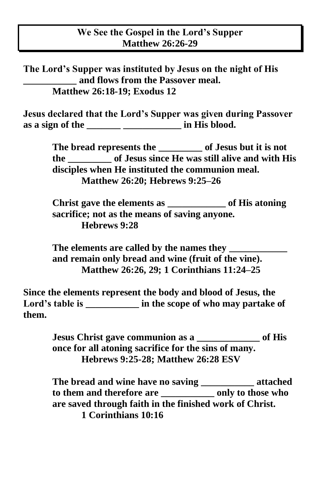**The Lord's Supper was instituted by Jesus on the night of His \_\_\_\_\_\_\_\_\_\_\_ and flows from the Passover meal. Matthew 26:18-19; Exodus 12**

**Jesus declared that the Lord's Supper was given during Passover as a sign of the \_\_\_\_\_\_\_ \_\_\_\_\_\_\_\_\_\_\_\_ in His blood.**

> **The bread represents the \_\_\_\_\_\_\_\_\_ of Jesus but it is not the \_\_\_\_\_\_\_\_\_ of Jesus since He was still alive and with His disciples when He instituted the communion meal. Matthew 26:20; Hebrews 9:25–26**

**Christ gave the elements as \_\_\_\_\_\_\_\_\_\_\_\_ of His atoning sacrifice; not as the means of saving anyone. Hebrews 9:28** 

**The elements are called by the names they \_\_\_\_\_\_\_\_\_\_\_\_ and remain only bread and wine (fruit of the vine). Matthew 26:26, 29; 1 Corinthians 11:24–25** 

**Since the elements represent the body and blood of Jesus, the**  Lord's table is **in the scope of who may partake of them.**

> **Jesus Christ gave communion as a \_\_\_\_\_\_\_\_\_\_\_\_\_ of His once for all atoning sacrifice for the sins of many. Hebrews 9:25-28; Matthew 26:28 ESV**

**The bread and wine have no saving \_\_\_\_\_\_\_\_\_\_\_ attached to them and therefore are \_\_\_\_\_\_\_\_\_\_\_ only to those who are saved through faith in the finished work of Christ. 1 Corinthians 10:16**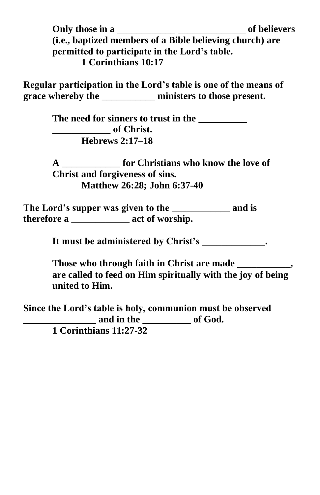**Only those in a \_\_\_\_\_\_\_\_\_\_\_\_ \_\_\_\_\_\_\_\_\_\_\_\_\_\_ of believers (i.e., baptized members of a Bible believing church) are permitted to participate in the Lord's table. 1 Corinthians 10:17** 

**Regular participation in the Lord's table is one of the means of grace whereby the \_\_\_\_\_\_\_\_\_\_\_ ministers to those present.**

> The need for sinners to trust in the **\_\_\_\_\_\_\_\_\_\_\_\_ of Christ. Hebrews 2:17–18**

**A \_\_\_\_\_\_\_\_\_\_\_\_ for Christians who know the love of Christ and forgiveness of sins. Matthew 26:28; John 6:37-40**

**The Lord's supper was given to the \_\_\_\_\_\_\_\_\_\_\_\_ and is therefore a \_\_\_\_\_\_\_\_\_\_\_\_ act of worship.**

**It must be administered by Christ's \_\_\_\_\_\_\_\_\_\_\_\_\_.**

**Those who through faith in Christ are made \_\_\_\_\_\_\_\_\_\_\_, are called to feed on Him spiritually with the joy of being united to Him.**

**Since the Lord's table is holy, communion must be observed \_\_\_\_\_\_\_\_\_\_\_\_\_\_\_ and in the \_\_\_\_\_\_\_\_\_\_ of God. 1 Corinthians 11:27-32**